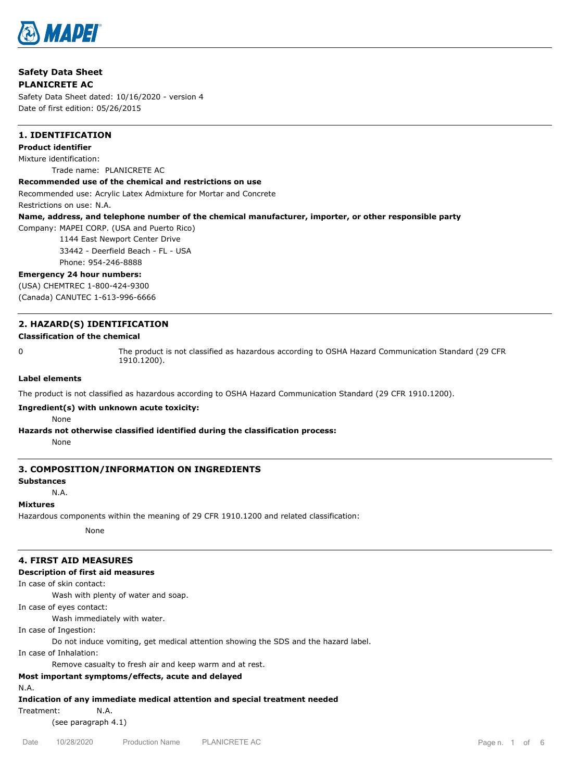

# **Safety Data Sheet PLANICRETE AC**

Safety Data Sheet dated: 10/16/2020 - version 4 Date of first edition: 05/26/2015

# **1. IDENTIFICATION**

# **Product identifier**

Mixture identification: Trade name: PLANICRETE AC

# **Recommended use of the chemical and restrictions on use**

Recommended use: Acrylic Latex Admixture for Mortar and Concrete

Restrictions on use: N.A.

# **Name, address, and telephone number of the chemical manufacturer, importer, or other responsible party**

Company: MAPEI CORP. (USA and Puerto Rico)

1144 East Newport Center Drive

33442 - Deerfield Beach - FL - USA

Phone: 954-246-8888

# **Emergency 24 hour numbers:**

(USA) CHEMTREC 1-800-424-9300 (Canada) CANUTEC 1-613-996-6666

# **2. HAZARD(S) IDENTIFICATION**

#### **Classification of the chemical**

0 The product is not classified as hazardous according to OSHA Hazard Communication Standard (29 CFR 1910.1200).

#### **Label elements**

The product is not classified as hazardous according to OSHA Hazard Communication Standard (29 CFR 1910.1200).

#### **Ingredient(s) with unknown acute toxicity:**

None

# **Hazards not otherwise classified identified during the classification process:**

None

# **3. COMPOSITION/INFORMATION ON INGREDIENTS**

# **Substances**

N.A.

#### **Mixtures**

Hazardous components within the meaning of 29 CFR 1910.1200 and related classification:

None

# **4. FIRST AID MEASURES**

# **Description of first aid measures**

In case of skin contact:

Wash with plenty of water and soap.

In case of eyes contact:

Wash immediately with water.

In case of Ingestion:

Do not induce vomiting, get medical attention showing the SDS and the hazard label.

In case of Inhalation:

Remove casualty to fresh air and keep warm and at rest.

# **Most important symptoms/effects, acute and delayed**

N.A.

**Indication of any immediate medical attention and special treatment needed**

Treatment: N.A.

(see paragraph 4.1)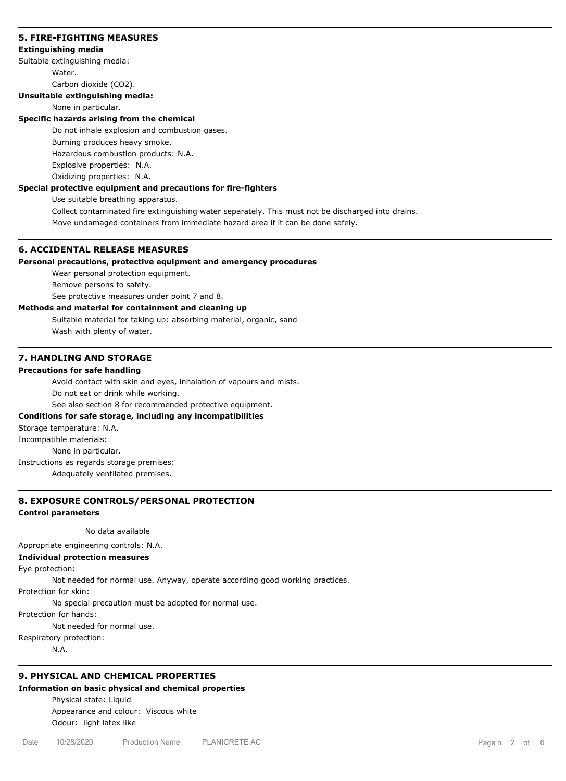### **5. FIRE-FIGHTING MEASURES**

#### **Extinguishing media**

Suitable extinguishing media:

Water.

Carbon dioxide (CO2).

# **Unsuitable extinguishing media:**

None in particular.

#### **Specific hazards arising from the chemical**

Do not inhale explosion and combustion gases.

Burning produces heavy smoke.

Hazardous combustion products: N.A.

Explosive properties: N.A.

Oxidizing properties: N.A.

# **Special protective equipment and precautions for fire-fighters**

Use suitable breathing apparatus.

Collect contaminated fire extinguishing water separately. This must not be discharged into drains. Move undamaged containers from immediate hazard area if it can be done safely.

# **6. ACCIDENTAL RELEASE MEASURES**

# **Personal precautions, protective equipment and emergency procedures**

Wear personal protection equipment.

Remove persons to safety.

See protective measures under point 7 and 8.

# **Methods and material for containment and cleaning up**

Suitable material for taking up: absorbing material, organic, sand Wash with plenty of water.

# **7. HANDLING AND STORAGE**

# **Precautions for safe handling**

Avoid contact with skin and eyes, inhalation of vapours and mists.

Do not eat or drink while working.

See also section 8 for recommended protective equipment.

## **Conditions for safe storage, including any incompatibilities**

Storage temperature: N.A.

Incompatible materials:

None in particular.

Instructions as regards storage premises:

Adequately ventilated premises.

# **8. EXPOSURE CONTROLS/PERSONAL PROTECTION**

#### **Control parameters**

No data available

Appropriate engineering controls: N.A.

# **Individual protection measures**

Eye protection:

Not needed for normal use. Anyway, operate according good working practices.

Protection for skin:

No special precaution must be adopted for normal use.

Protection for hands:

Not needed for normal use.

Respiratory protection:

N.A.

# **9. PHYSICAL AND CHEMICAL PROPERTIES**

# **Information on basic physical and chemical properties**

Physical state: Liquid Appearance and colour: Viscous white Odour: light latex like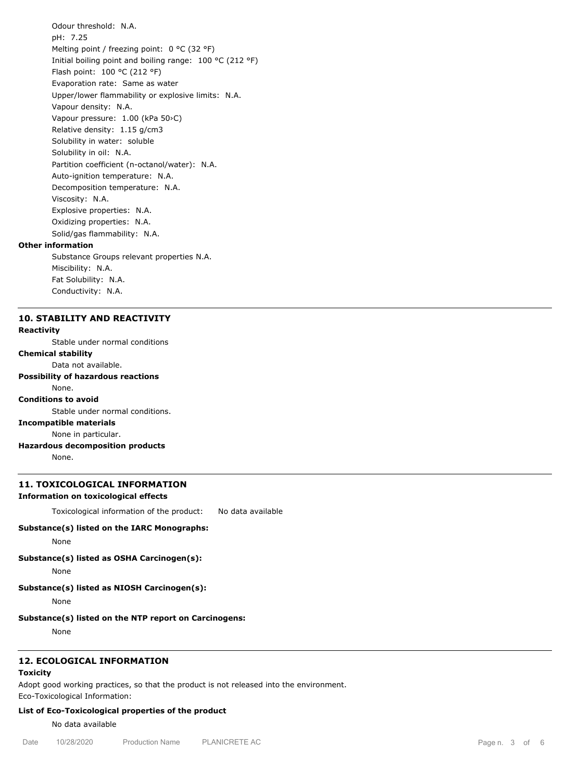Odour threshold: N.A. pH: 7.25 Melting point / freezing point: 0 °C (32 °F) Initial boiling point and boiling range: 100 °C (212 °F) Flash point: 100 °C (212 °F) Evaporation rate: Same as water Upper/lower flammability or explosive limits: N.A. Vapour density: N.A. Vapour pressure: 1.00 (kPa 50›C) Relative density: 1.15 g/cm3 Solubility in water: soluble Solubility in oil: N.A. Partition coefficient (n-octanol/water): N.A. Auto-ignition temperature: N.A. Decomposition temperature: N.A. Viscosity: N.A. Explosive properties: N.A. Oxidizing properties: N.A. Solid/gas flammability: N.A. **Other information** Substance Groups relevant properties N.A.

Miscibility: N.A. Fat Solubility: N.A. Conductivity: N.A.

# **10. STABILITY AND REACTIVITY**

#### **Reactivity**

Stable under normal conditions

# **Chemical stability**

Data not available.

# **Possibility of hazardous reactions**

#### None. **Conditions to avoid**

Stable under normal conditions.

# **Incompatible materials**

None in particular.

**Hazardous decomposition products**

None.

#### **11. TOXICOLOGICAL INFORMATION**

#### **Information on toxicological effects**

Toxicological information of the product: No data available

#### **Substance(s) listed on the IARC Monographs:**

None

**Substance(s) listed as OSHA Carcinogen(s):**

None

# **Substance(s) listed as NIOSH Carcinogen(s):**

None

#### **Substance(s) listed on the NTP report on Carcinogens:**

None

# **12. ECOLOGICAL INFORMATION**

# **Toxicity**

Adopt good working practices, so that the product is not released into the environment.

Eco-Toxicological Information:

# **List of Eco-Toxicological properties of the product**

No data available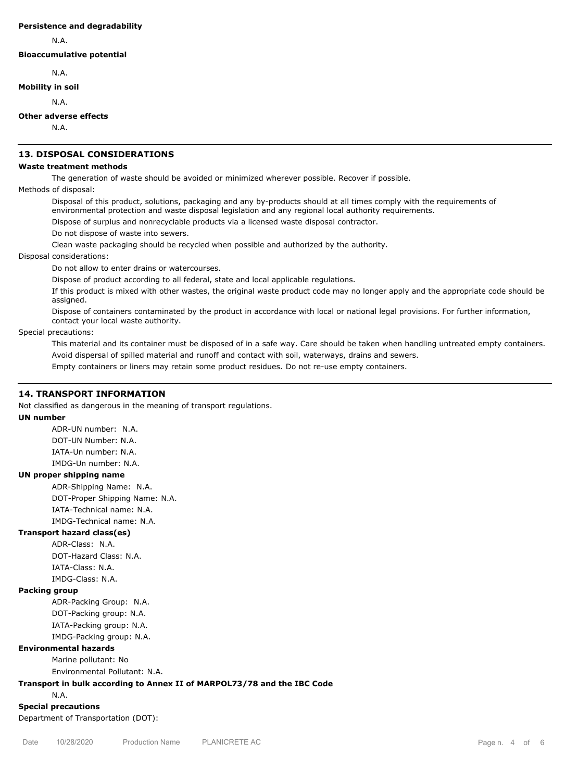#### **Persistence and degradability**

N.A.

**Bioaccumulative potential**

N.A.

# **Mobility in soil**

N.A.

# **Other adverse effects**

N.A.

# **13. DISPOSAL CONSIDERATIONS**

#### **Waste treatment methods**

The generation of waste should be avoided or minimized wherever possible. Recover if possible.

Methods of disposal:

Disposal of this product, solutions, packaging and any by-products should at all times comply with the requirements of environmental protection and waste disposal legislation and any regional local authority requirements.

Dispose of surplus and nonrecyclable products via a licensed waste disposal contractor.

Do not dispose of waste into sewers.

Clean waste packaging should be recycled when possible and authorized by the authority.

# Disposal considerations:

Do not allow to enter drains or watercourses.

Dispose of product according to all federal, state and local applicable regulations.

If this product is mixed with other wastes, the original waste product code may no longer apply and the appropriate code should be assigned.

Dispose of containers contaminated by the product in accordance with local or national legal provisions. For further information, contact your local waste authority.

Special precautions:

This material and its container must be disposed of in a safe way. Care should be taken when handling untreated empty containers. Avoid dispersal of spilled material and runoff and contact with soil, waterways, drains and sewers.

Empty containers or liners may retain some product residues. Do not re-use empty containers.

# **14. TRANSPORT INFORMATION**

Not classified as dangerous in the meaning of transport regulations.

## **UN number**

ADR-UN number: N.A. DOT-UN Number: N.A. IATA-Un number: N.A. IMDG-Un number: N.A.

# **UN proper shipping name**

ADR-Shipping Name: N.A. DOT-Proper Shipping Name: N.A. IATA-Technical name: N.A. IMDG-Technical name: N.A.

# **Transport hazard class(es)**

ADR-Class: N.A. DOT-Hazard Class: N.A. IATA-Class: N.A. IMDG-Class: N.A.

#### **Packing group**

ADR-Packing Group: N.A. DOT-Packing group: N.A. IATA-Packing group: N.A. IMDG-Packing group: N.A.

#### **Environmental hazards**

Marine pollutant: No Environmental Pollutant: N.A.

#### **Transport in bulk according to Annex II of MARPOL73/78 and the IBC Code**

N.A.

**Special precautions**

Department of Transportation (DOT):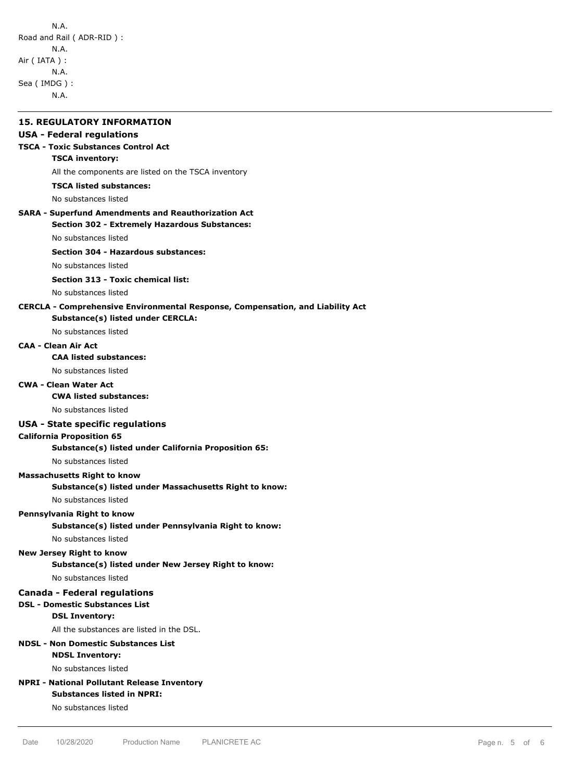| <b>15. REGULATORY INFORMATION</b>                                                                                   |
|---------------------------------------------------------------------------------------------------------------------|
| <b>USA - Federal regulations</b>                                                                                    |
| <b>TSCA - Toxic Substances Control Act</b>                                                                          |
| <b>TSCA inventory:</b>                                                                                              |
| All the components are listed on the TSCA inventory                                                                 |
| <b>TSCA listed substances:</b>                                                                                      |
| No substances listed                                                                                                |
| <b>SARA - Superfund Amendments and Reauthorization Act</b><br><b>Section 302 - Extremely Hazardous Substances:</b>  |
| No substances listed                                                                                                |
| Section 304 - Hazardous substances:                                                                                 |
| No substances listed                                                                                                |
| <b>Section 313 - Toxic chemical list:</b>                                                                           |
| No substances listed                                                                                                |
| CERCLA - Comprehensive Environmental Response, Compensation, and Liability Act<br>Substance(s) listed under CERCLA: |
| No substances listed                                                                                                |
| <b>CAA - Clean Air Act</b>                                                                                          |
| <b>CAA listed substances:</b>                                                                                       |
| No substances listed                                                                                                |
| <b>CWA - Clean Water Act</b>                                                                                        |
| <b>CWA listed substances:</b>                                                                                       |
| No substances listed                                                                                                |
| <b>USA - State specific regulations</b>                                                                             |
| <b>California Proposition 65</b>                                                                                    |
| Substance(s) listed under California Proposition 65:                                                                |
| No substances listed                                                                                                |
| <b>Massachusetts Right to know</b>                                                                                  |
| Substance(s) listed under Massachusetts Right to know:                                                              |
| No substances listed                                                                                                |
| Pennsylvania Right to know                                                                                          |
| Substance(s) listed under Pennsylvania Right to know:                                                               |
| No substances listed                                                                                                |
| <b>New Jersey Right to know</b><br>Substance(s) listed under New Jersey Right to know:                              |
| No substances listed                                                                                                |
| <b>Canada - Federal regulations</b>                                                                                 |
| <b>DSL - Domestic Substances List</b>                                                                               |
| <b>DSL Inventory:</b>                                                                                               |
| All the substances are listed in the DSL.                                                                           |
| <b>NDSL - Non Domestic Substances List</b>                                                                          |
| <b>NDSL Inventory:</b>                                                                                              |
| No substances listed                                                                                                |
| <b>NPRI - National Pollutant Release Inventory</b>                                                                  |
| <b>Substances listed in NPRI:</b>                                                                                   |
| No substances listed                                                                                                |
|                                                                                                                     |
|                                                                                                                     |